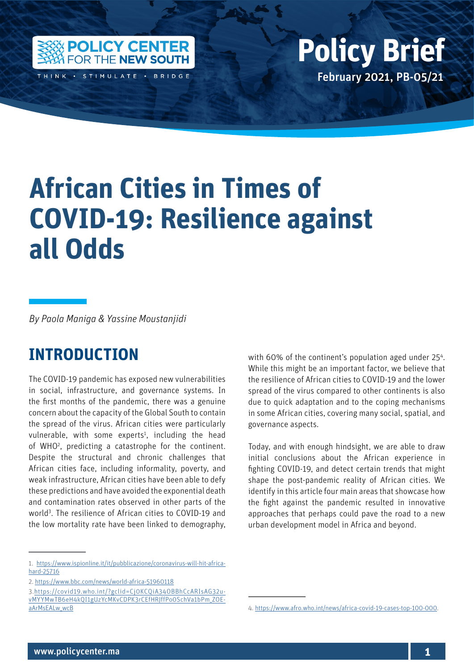

THINK · STIMULATE · BRIDGE

## Policy Center for the New South Policy British Policy British Policy British Policy British Policy British Policy British Policy British Policy British Policy British Policy British Policy British Policy British Policy Bri February 2021, PB-05/21 **Policy Brief**

# **African Cities in Times of COVID-19: Resilience against all Odds**

*By Paola Maniga & Yassine Moustanjidi*

### **INTRODUCTION**

The COVID-19 pandemic has exposed new vulnerabilities in social, infrastructure, and governance systems. In the first months of the pandemic, there was a genuine concern about the capacity of the Global South to contain the spread of the virus. African cities were particularly vulnerable, with some experts<sup>1</sup>, including the head of WHO<sup>2</sup>, predicting a catastrophe for the continent. Despite the structural and chronic challenges that African cities face, including informality, poverty, and weak infrastructure, African cities have been able to defy these predictions and have avoided the exponential death and contamination rates observed in other parts of the world<sup>3</sup>. The resilience of African cities to COVID-19 and the low mortality rate have been linked to demography,

1. [https://www.ispionline.it/it/pubblicazione/coronavirus-will-hit-africa](https://www.ispionline.it/it/pubblicazione/coronavirus-will-hit-africa-hard-25716)[hard-25716](https://www.ispionline.it/it/pubblicazione/coronavirus-will-hit-africa-hard-25716)

with 60% of the continent's population aged under 25<sup>4</sup>. While this might be an important factor, we believe that the resilience of African cities to COVID-19 and the lower spread of the virus compared to other continents is also due to quick adaptation and to the coping mechanisms in some African cities, covering many social, spatial, and governance aspects.

Today, and with enough hindsight, we are able to draw initial conclusions about the African experience in fighting COVID-19, and detect certain trends that might shape the post-pandemic reality of African cities. We identify in this article four main areas that showcase how the fight against the pandemic resulted in innovative approaches that perhaps could pave the road to a new urban development model in Africa and beyond.

<sup>2.</sup><https://www.bbc.com/news/world-africa-51960118>

<sup>3.</sup>[https://covid19.who.int/?gclid=Cj0KCQiA34OBBhCcARIsAG32u](https://covid19.who.int/?gclid=Cj0KCQiA34OBBhCcARIsAG32uvMYYMwTB6eH4kQI1gUzYcMKvCDPK3rCEfHRJffPo0Sch)[vMYYMwTB6eH4kQI1gUzYcMKvCDPK3rCEfHRJffPo0SchVa1bPm\\_ZOE](https://covid19.who.int/?gclid=Cj0KCQiA34OBBhCcARIsAG32uvMYYMwTB6eH4kQI1gUzYcMKvCDPK3rCEfHRJffPo0Sch)[aArMsEALw\\_wcB](https://covid19.who.int/?gclid=Cj0KCQiA34OBBhCcARIsAG32uvMYYMwTB6eH4kQI1gUzYcMKvCDPK3rCEfHRJffPo0Sch)

<sup>4.</sup> [https://www.afro.who.int/news/africa-covid-19-cases-top-100-000.](https://www.afro.who.int/news/africa-covid-19-cases-top-100-000)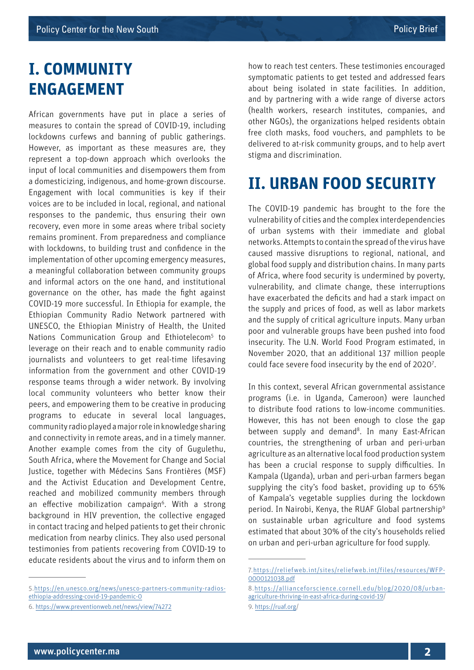#### **I. COMMUNITY ENGAGEMENT**

African governments have put in place a series of measures to contain the spread of COVID-19, including lockdowns curfews and banning of public gatherings. However, as important as these measures are, they represent a top-down approach which overlooks the input of local communities and disempowers them from a domesticizing, indigenous, and home-grown discourse. Engagement with local communities is key if their voices are to be included in local, regional, and national responses to the pandemic, thus ensuring their own recovery, even more in some areas where tribal society remains prominent. From preparedness and compliance with lockdowns, to building trust and confidence in the implementation of other upcoming emergency measures, a meaningful collaboration between community groups and informal actors on the one hand, and institutional governance on the other, has made the fight against COVID-19 more successful. In Ethiopia for example, the Ethiopian Community Radio Network partnered with UNESCO, the Ethiopian Ministry of Health, the United Nations Communication Group and Ethiotelecom<sup>5</sup> to leverage on their reach and to enable community radio journalists and volunteers to get real-time lifesaving information from the government and other COVID-19 response teams through a wider network. By involving local community volunteers who better know their peers, and empowering them to be creative in producing programs to educate in several local languages, community radio played a major role in knowledge sharing and connectivity in remote areas, and in a timely manner. Another example comes from the city of Gugulethu, South Africa, where the Movement for Change and Social Justice, together with Médecins Sans Frontières (MSF) and the Activist Education and Development Centre, reached and mobilized community members through an effective mobilization campaign<sup>6</sup>. With a strong background in HIV prevention, the collective engaged in contact tracing and helped patients to get their chronic medication from nearby clinics. They also used personal testimonies from patients recovering from COVID-19 to educate residents about the virus and to inform them on

how to reach test centers. These testimonies encouraged symptomatic patients to get tested and addressed fears about being isolated in state facilities. In addition, and by partnering with a wide range of diverse actors (health workers, research institutes, companies, and other NGOs), the organizations helped residents obtain free cloth masks, food vouchers, and pamphlets to be delivered to at-risk community groups, and to help avert stigma and discrimination.

## **II. URBAN FOOD SECURITY**

The COVID-19 pandemic has brought to the fore the vulnerability of cities and the complex interdependencies of urban systems with their immediate and global networks. Attempts to contain the spread of the virus have caused massive disruptions to regional, national, and global food supply and distribution chains. In many parts of Africa, where food security is undermined by poverty, vulnerability, and climate change, these interruptions have exacerbated the deficits and had a stark impact on the supply and prices of food, as well as labor markets and the supply of critical agriculture inputs. Many urban poor and vulnerable groups have been pushed into food insecurity. The U.N. World Food Program estimated, in November 2020, that an additional 137 million people could face severe food insecurity by the end of 2020<sup>7</sup>.

In this context, several African governmental assistance programs (i.e. in Uganda, Cameroon) were launched to distribute food rations to low-income communities. However, this has not been enough to close the gap between supply and demand<sup>8</sup>. In many East-African countries, the strengthening of urban and peri-urban agriculture as an alternative local food production system has been a crucial response to supply difficulties. In Kampala (Uganda), urban and peri-urban farmers began supplying the city's food basket, providing up to 65% of Kampala's vegetable supplies during the lockdown period. In Nairobi, Kenya, the RUAF Global partnership<sup>9</sup> on sustainable urban agriculture and food systems estimated that about 30% of the city's households relied on urban and peri-urban agriculture for food supply.

<sup>5.</sup>[https://en.unesco.org/news/unesco-partners-community-radios](https://en.unesco.org/news/unesco-partners-community-radios-ethiopia-addressing-covid-19-pandemic-0)[ethiopia-addressing-covid-19-pandemic-0](https://en.unesco.org/news/unesco-partners-community-radios-ethiopia-addressing-covid-19-pandemic-0)

<sup>6.</sup> <https://www.preventionweb.net/news/view/74272>

<sup>7.</sup>[https://reliefweb.int/sites/reliefweb.int/files/resources/WFP-](https://reliefweb.int/sites/reliefweb.int/files/resources/WFP-0000121038.pdf)[0000121038.pdf](https://reliefweb.int/sites/reliefweb.int/files/resources/WFP-0000121038.pdf)

<sup>8.</sup>[https://allianceforscience.cornell.edu/blog/2020/08/urban](https://allianceforscience.cornell.edu/blog/2020/08/urban-agriculture-thriving-in-east-africa-during-covid-19)[agriculture-thriving-in-east-africa-during-covid-19/](https://allianceforscience.cornell.edu/blog/2020/08/urban-agriculture-thriving-in-east-africa-during-covid-19)

<sup>9.</sup><https://ruaf.org>/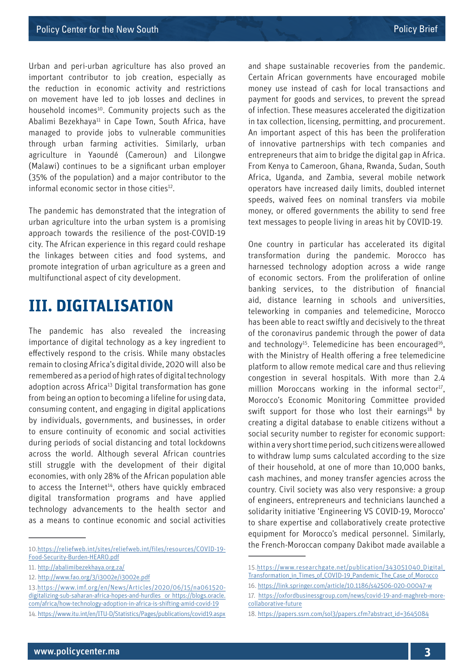Urban and peri-urban agriculture has also proved an important contributor to job creation, especially as the reduction in economic activity and restrictions on movement have led to job losses and declines in household incomes<sup>10</sup>. Community projects such as the Abalimi Bezekhaya<sup>11</sup> in Cape Town, South Africa, have managed to provide jobs to vulnerable communities through urban farming activities. Similarly, urban agriculture in Yaoundé (Cameroun) and Lilongwe (Malawi) continues to be a significant urban employer (35% of the population) and a major contributor to the informal economic sector in those cities $12$ .

The pandemic has demonstrated that the integration of urban agriculture into the urban system is a promising approach towards the resilience of the post-COVID-19 city. The African experience in this regard could reshape the linkages between cities and food systems, and promote integration of urban agriculture as a green and multifunctional aspect of city development.

#### **III. DIGITALISATION**

The pandemic has also revealed the increasing importance of digital technology as a key ingredient to effectively respond to the crisis. While many obstacles remain to closing Africa's digital divide, 2020 will also be remembered as a period of high rates of digital technology adoption across Africa<sup>13</sup> Digital transformation has gone from being an option to becoming a lifeline for using data, consuming content, and engaging in digital applications by individuals, governments, and businesses, in order to ensure continuity of economic and social activities during periods of social distancing and total lockdowns across the world. Although several African countries still struggle with the development of their digital economies, with only 28% of the African population able to access the Internet<sup>14</sup>, others have quickly embraced digital transformation programs and have applied technology advancements to the health sector and as a means to continue economic and social activities

and shape sustainable recoveries from the pandemic. Certain African governments have encouraged mobile money use instead of cash for local transactions and payment for goods and services, to prevent the spread of infection. These measures accelerated the digitization in tax collection, licensing, permitting, and procurement. An important aspect of this has been the proliferation of innovative partnerships with tech companies and entrepreneurs that aim to bridge the digital gap in Africa. From Kenya to Cameroon, Ghana, Rwanda, Sudan, South Africa, Uganda, and Zambia, several mobile network operators have increased daily limits, doubled internet speeds, waived fees on nominal transfers via mobile money, or offered governments the ability to send free text messages to people living in areas hit by COVID-19.

One country in particular has accelerated its digital transformation during the pandemic. Morocco has harnessed technology adoption across a wide range of economic sectors. From the proliferation of online banking services, to the distribution of financial aid, distance learning in schools and universities, teleworking in companies and telemedicine, Morocco has been able to react swiftly and decisively to the threat of the coronavirus pandemic through the power of data and technology<sup>15</sup>. Telemedicine has been encouraged<sup>16</sup>. with the Ministry of Health offering a free telemedicine platform to allow remote medical care and thus relieving congestion in several hospitals. With more than 2.4 million Moroccans working in the informal sector<sup>17</sup>, Morocco's Economic Monitoring Committee provided swift support for those who lost their earnings<sup>18</sup> by creating a digital database to enable citizens without a social security number to register for economic support: within a very short time period, such citizens were allowed to withdraw lump sums calculated according to the size of their household, at one of more than 10,000 banks, cash machines, and money transfer agencies across the country. Civil society was also very responsive: a group of engineers, entrepreneurs and technicians launched a solidarity initiative 'Engineering VS COVID-19, Morocco' to share expertise and collaboratively create protective equipment for Morocco's medical personnel. Similarly, the French-Moroccan company Dakibot made available a

<sup>10</sup>[.https://reliefweb.int/sites/reliefweb.int/files/resources/COVID-19-](https://reliefweb.int/sites/reliefweb.int/files/resources/COVID-19-Food-Security-Burden-HEARO.pdf) [Food-Security-Burden-HEARO.pdf](https://reliefweb.int/sites/reliefweb.int/files/resources/COVID-19-Food-Security-Burden-HEARO.pdf)

<sup>11.</sup><http://abalimibezekhaya.org.za/>

<sup>12.</sup> <http://www.fao.org/3/i3002e/i3002e.pdf>

<sup>13.</sup>[https://www.imf.org/en/News/Articles/2020/06/15/na061520](https://www.imf.org/en/News/Articles/2020/06/15/na061520-digitalizing-sub-saharan-africa-hopes-and-hurdles  or https://blogs.oracle.com/africa/how-technology-adoption-in-africa-is-shifting-amid-covid-19) [digitalizing-sub-saharan-africa-hopes-and-hurdles or https://blogs.oracle.](https://www.imf.org/en/News/Articles/2020/06/15/na061520-digitalizing-sub-saharan-africa-hopes-and-hurdles  or https://blogs.oracle.com/africa/how-technology-adoption-in-africa-is-shifting-amid-covid-19) [com/africa/how-technology-adoption-in-africa-is-shifting-amid-covid-19](https://www.imf.org/en/News/Articles/2020/06/15/na061520-digitalizing-sub-saharan-africa-hopes-and-hurdles  or https://blogs.oracle.com/africa/how-technology-adoption-in-africa-is-shifting-amid-covid-19) 14. <https://www.itu.int/en/ITU-D/Statistics/Pages/publications/covid19.aspx>

<sup>15.</sup>[https://www.researchgate.net/publication/343051040\\_Digital\\_](https://www.researchgate.net/publication/343051040_Digital_Transformation_in_Times_of_COVID-19_Pandemic_The_Case_of_Morocco) [Transformation\\_in\\_Times\\_of\\_COVID-19\\_Pandemic\\_The\\_Case\\_of\\_Morocco](https://www.researchgate.net/publication/343051040_Digital_Transformation_in_Times_of_COVID-19_Pandemic_The_Case_of_Morocco)

<sup>16.</sup><https://link.springer.com/article/10.1186/s42506-020-00047-w>

<sup>17.</sup> [https://oxfordbusinessgroup.com/news/covid-19-and-maghreb-more](https://oxfordbusinessgroup.com/news/covid-19-and-maghreb-more-collaborative-future)[collaborative-future](https://oxfordbusinessgroup.com/news/covid-19-and-maghreb-more-collaborative-future)

<sup>18.</sup> [https://papers.ssrn.com/sol3/papers.cfm?abstract\\_id=3645084](https://papers.ssrn.com/sol3/papers.cfm?abstract_id=3645084)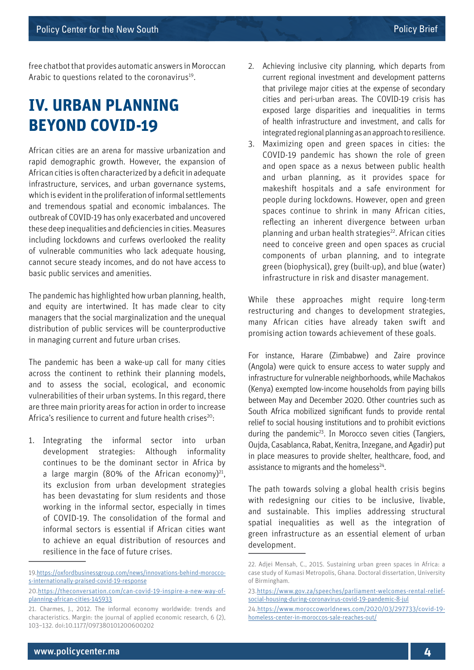free chatbot that provides automatic answers in Moroccan Arabic to questions related to the coronavirus<sup>19</sup>.

## **IV. URBAN PLANNING BEYOND COVID-19**

African cities are an arena for massive urbanization and rapid demographic growth. However, the expansion of African cities is often characterized by a deficit in adequate infrastructure, services, and urban governance systems, which is evident in the proliferation of informal settlements and tremendous spatial and economic imbalances. The outbreak of COVID-19 has only exacerbated and uncovered these deep inequalities and deficiencies in cities. Measures including lockdowns and curfews overlooked the reality of vulnerable communities who lack adequate housing, cannot secure steady incomes, and do not have access to basic public services and amenities.

The pandemic has highlighted how urban planning, health, and equity are intertwined. It has made clear to city managers that the social marginalization and the unequal distribution of public services will be counterproductive in managing current and future urban crises.

The pandemic has been a wake-up call for many cities across the continent to rethink their planning models, and to assess the social, ecological, and economic vulnerabilities of their urban systems. In this regard, there are three main priority areas for action in order to increase Africa's resilience to current and future health crises $^{20}$ :

1. Integrating the informal sector into urban development strategies: Although informality continues to be the dominant sector in Africa by a large margin (80% of the African economy) $^{21}$ , its exclusion from urban development strategies has been devastating for slum residents and those working in the informal sector, especially in times of COVID-19. The consolidation of the formal and informal sectors is essential if African cities want to achieve an equal distribution of resources and resilience in the face of future crises.

- 2. Achieving inclusive city planning, which departs from current regional investment and development patterns that privilege major cities at the expense of secondary cities and peri-urban areas. The COVID-19 crisis has exposed large disparities and inequalities in terms of health infrastructure and investment, and calls for integrated regional planning as an approach to resilience.
- 3. Maximizing open and green spaces in cities: the COVID-19 pandemic has shown the role of green and open space as a nexus between public health and urban planning, as it provides space for makeshift hospitals and a safe environment for people during lockdowns. However, open and green spaces continue to shrink in many African cities, reflecting an inherent divergence between urban planning and urban health strategies<sup>22</sup>. African cities need to conceive green and open spaces as crucial components of urban planning, and to integrate green (biophysical), grey (built-up), and blue (water) infrastructure in risk and disaster management.

While these approaches might require long-term restructuring and changes to development strategies, many African cities have already taken swift and promising action towards achievement of these goals.

For instance, Harare (Zimbabwe) and Zaire province (Angola) were quick to ensure access to water supply and infrastructure for vulnerable neighborhoods, while Machakos (Kenya) exempted low-income households from paying bills between May and December 2020. Other countries such as South Africa mobilized significant funds to provide rental relief to social housing institutions and to prohibit evictions during the pandemic23. In Morocco seven cities (Tangiers, Oujda, Casablanca, Rabat, Kenitra, Inzegane, and Agadir) put in place measures to provide shelter, healthcare, food, and assistance to migrants and the homeless<sup>24</sup>.

The path towards solving a global health crisis begins with redesigning our cities to be inclusive, livable, and sustainable. This implies addressing structural spatial inequalities as well as the integration of green infrastructure as an essential element of urban development.

<sup>19</sup>[.https://oxfordbusinessgroup.com/news/innovations-behind-morocco](https://oxfordbusinessgroup.com/news/innovations-behind-morocco-s-internationally-praised-covid-19-response)[s-internationally-praised-covid-19-response](https://oxfordbusinessgroup.com/news/innovations-behind-morocco-s-internationally-praised-covid-19-response)

<sup>20.</sup>[https://theconversation.com/can-covid-19-inspire-a-new-way-of](https://theconversation.com/can-covid-19-inspire-a-new-way-of-planning-african-cities-145933)[planning-african-cities-145933](https://theconversation.com/can-covid-19-inspire-a-new-way-of-planning-african-cities-145933)

<sup>21.</sup> Charmes, J., 2012. The informal economy worldwide: trends and characteristics. Margin: the journal of applied economic research, 6 (2), 103–132. doi:10.1177/097380101200600202

<sup>22.</sup> Adjei Mensah, C., 2015. Sustaining urban green spaces in Africa: a case study of Kumasi Metropolis, Ghana. Doctoral dissertation, University of Birmingham.

<sup>23.</sup>[https://www.gov.za/speeches/parliament-welcomes-rental-relief](https://www.gov.za/speeches/parliament-welcomes-rental-relief-social-housing-during-coronavirus-covid-19-pandemic-8-jul)[social-housing-during-coronavirus-covid-19-pandemic-8-jul](https://www.gov.za/speeches/parliament-welcomes-rental-relief-social-housing-during-coronavirus-covid-19-pandemic-8-jul)

<sup>24</sup>[.https://www.moroccoworldnews.com/2020/03/297733/covid-19](https://www.moroccoworldnews.com/2020/03/297733/covid-19-homeless-center-in-moroccos-sale-reaches-out/ ) [homeless-center-in-moroccos-sale-reaches-out/](https://www.moroccoworldnews.com/2020/03/297733/covid-19-homeless-center-in-moroccos-sale-reaches-out/ )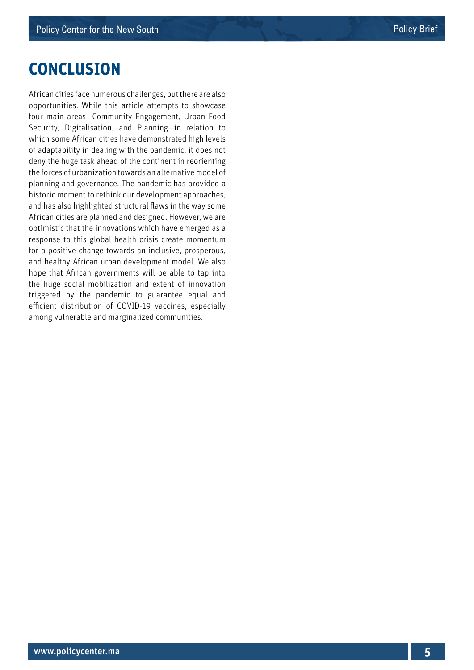#### **CONCLUSION**

African cities face numerous challenges, but there are also opportunities. While this article attempts to showcase four main areas—Community Engagement, Urban Food Security, Digitalisation, and Planning—in relation to which some African cities have demonstrated high levels of adaptability in dealing with the pandemic, it does not deny the huge task ahead of the continent in reorienting the forces of urbanization towards an alternative model of planning and governance. The pandemic has provided a historic moment to rethink our development approaches, and has also highlighted structural flaws in the way some African cities are planned and designed. However, we are optimistic that the innovations which have emerged as a response to this global health crisis create momentum for a positive change towards an inclusive, prosperous, and healthy African urban development model. We also hope that African governments will be able to tap into the huge social mobilization and extent of innovation triggered by the pandemic to guarantee equal and efficient distribution of COVID-19 vaccines, especially among vulnerable and marginalized communities.